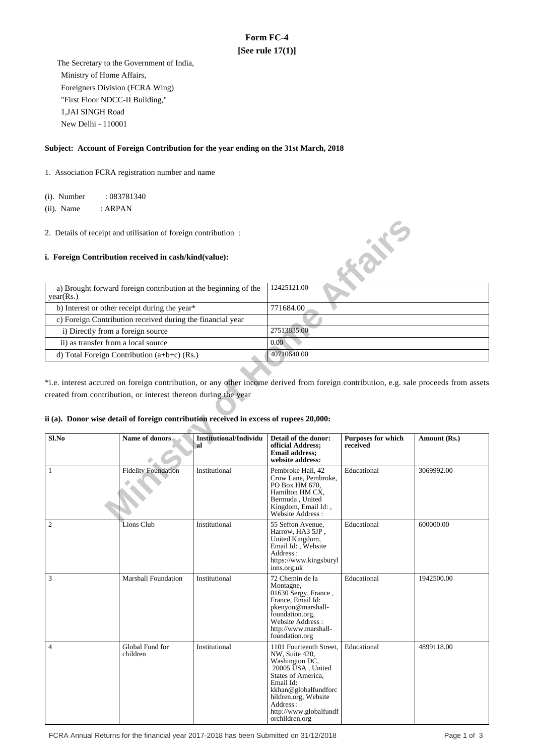# **Form FC-4 [See rule 17(1)]**

 The Secretary to the Government of India, Ministry of Home Affairs, Foreigners Division (FCRA Wing) "First Floor NDCC-II Building," 1,JAI SINGH Road New Delhi - 110001

### **Subject: Account of Foreign Contribution for the year ending on the 31st March, 2018**

1. Association FCRA registration number and name

(i). Number : 083781340

(ii). Name : ARPAN

# **i. Foreign Contribution received in cash/kind(value):**

| a) Brought forward foreign contribution at the beginning of the<br>year(Rs.) | 12425121.00 |
|------------------------------------------------------------------------------|-------------|
| b) Interest or other receipt during the year*                                | 771684.00   |
| c) Foreign Contribution received during the financial year                   |             |
| i) Directly from a foreign source                                            | 27513835.00 |
| ii) as transfer from a local source                                          | 0.00        |
| d) Total Foreign Contribution $(a+b+c)$ (Rs.)                                | 40710640.00 |

# **ii (a). Donor wise detail of foreign contribution received in excess of rupees 20,000:**

| 2. Details of receipt and utilisation of foreign contribution :                        |                                                                 |                                     |                                                                                                                                                                                                                             |                                       |                                                                                                                                       |
|----------------------------------------------------------------------------------------|-----------------------------------------------------------------|-------------------------------------|-----------------------------------------------------------------------------------------------------------------------------------------------------------------------------------------------------------------------------|---------------------------------------|---------------------------------------------------------------------------------------------------------------------------------------|
| i. Foreign Contribution received in cash/kind(value):                                  |                                                                 |                                     |                                                                                                                                                                                                                             | <b>Kaike</b>                          |                                                                                                                                       |
| year(Rs.)                                                                              | a) Brought forward foreign contribution at the beginning of the |                                     | 12425121.00                                                                                                                                                                                                                 |                                       |                                                                                                                                       |
|                                                                                        | b) Interest or other receipt during the year*                   |                                     | 771684.00                                                                                                                                                                                                                   |                                       |                                                                                                                                       |
|                                                                                        | c) Foreign Contribution received during the financial year      |                                     |                                                                                                                                                                                                                             |                                       |                                                                                                                                       |
| i) Directly from a foreign source                                                      |                                                                 |                                     | 27513835.00                                                                                                                                                                                                                 |                                       |                                                                                                                                       |
| ii) as transfer from a local source                                                    |                                                                 |                                     | 0.00                                                                                                                                                                                                                        |                                       |                                                                                                                                       |
|                                                                                        | d) Total Foreign Contribution (a+b+c) (Rs.)                     |                                     | 40710640.00                                                                                                                                                                                                                 |                                       |                                                                                                                                       |
|                                                                                        |                                                                 |                                     |                                                                                                                                                                                                                             |                                       |                                                                                                                                       |
|                                                                                        |                                                                 |                                     |                                                                                                                                                                                                                             |                                       | *i.e. interest accured on foreign contribution, or any other income derived from foreign contribution, e.g. sale proceeds from assets |
| created from contribution, or interest thereon during the year                         |                                                                 |                                     |                                                                                                                                                                                                                             |                                       |                                                                                                                                       |
|                                                                                        |                                                                 |                                     |                                                                                                                                                                                                                             |                                       |                                                                                                                                       |
| ii (a). Donor wise detail of foreign contribution received in excess of rupees 20,000: |                                                                 |                                     |                                                                                                                                                                                                                             |                                       |                                                                                                                                       |
|                                                                                        |                                                                 |                                     |                                                                                                                                                                                                                             |                                       |                                                                                                                                       |
| Sl.No                                                                                  | Name of donors                                                  | <b>Institutional/Individu</b><br>al | Detail of the donor:<br>official Address;<br><b>Email address;</b><br>website address:                                                                                                                                      | <b>Purposes for which</b><br>received | Amount (Rs.)                                                                                                                          |
| 1                                                                                      | <b>Fidelity Foundation</b>                                      | Institutional                       | Pembroke Hall, 42<br>Crow Lane, Pembroke,<br>PO Box HM 670,<br>Hamilton HM CX,<br>Bermuda, United<br>Kingdom, Email Id: ,<br>Website Address :                                                                              | Educational                           | 3069992.00                                                                                                                            |
| $\overline{2}$                                                                         | Lions Club                                                      | Institutional                       | 55 Sefton Avenue,<br>Harrow, HA3 5JP,<br>United Kingdom,<br>Email Id:, Website<br>Address:<br>https://www.kingsburyl<br>ions.org.uk                                                                                         | Educational                           | 600000.00                                                                                                                             |
| 3                                                                                      | <b>Marshall Foundation</b>                                      | Institutional                       | 72 Chemin de la<br>Montagne,<br>01630 Sergy, France,<br>France, Email Id:<br>pkenyon@marshall-<br>foundation.org,<br>Website Address<br>http://www.marshall-<br>foundation.org                                              | Educational                           | 1942500.00                                                                                                                            |
| 4                                                                                      | Global Fund for<br>children                                     | Institutional                       | 1101 Fourteenth Street,<br>NW, Suite 420,<br>Washington DC,<br>20005 USA, United<br>States of America.<br>Email Id:<br>kkhan@globalfundforc<br>hildren.org, Website<br>Address:<br>http://www.globalfundf<br>orchildren.org | Educational                           | 4899118.00                                                                                                                            |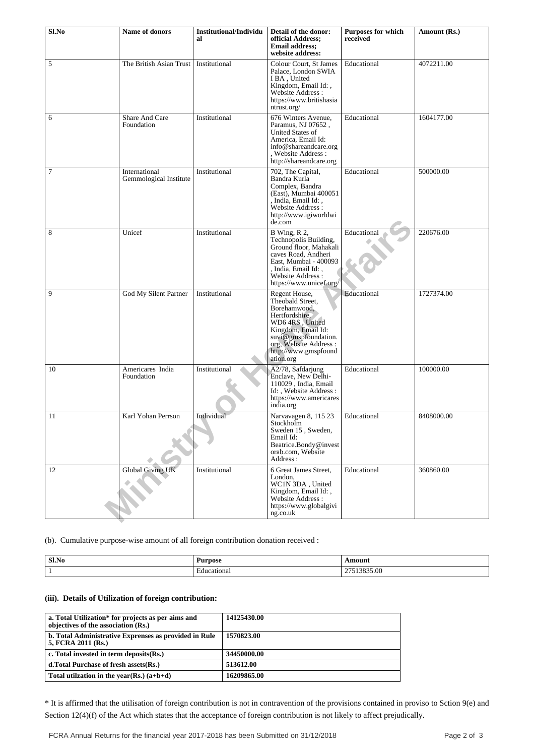| Sl.No | Name of donors                          | <b>Institutional/Individu</b><br>al | Detail of the donor:<br>official Address:<br><b>Email address:</b><br>website address:                                                                                                             | <b>Purposes for which</b><br>received | Amount (Rs.) |
|-------|-----------------------------------------|-------------------------------------|----------------------------------------------------------------------------------------------------------------------------------------------------------------------------------------------------|---------------------------------------|--------------|
| 5     | The British Asian Trust                 | Institutional                       | Colour Court, St James<br>Palace, London SWIA<br>I BA, United<br>Kingdom, Email Id:,<br>Website Address:<br>https://www.britishasia<br>ntrust.org/                                                 | Educational                           | 4072211.00   |
| 6     | Share And Care<br>Foundation            | Institutional                       | 676 Winters Avenue,<br>Paramus, NJ 07652,<br>United States of<br>America, Email Id:<br>info@shareandcare.org<br>, Website Address :<br>http://shareandcare.org                                     | Educational                           | 1604177.00   |
| 7     | International<br>Gemmological Institute | Institutional                       | 702, The Capital,<br>Bandra Kurla<br>Complex, Bandra<br>(East), Mumbai 400051<br>, India, Email Id:,<br>Website Address:<br>http://www.igiworldwi<br>de.com                                        | Educational                           | 500000.00    |
| 8     | Unicef                                  | Institutional                       | B Wing, R 2,<br>Technopolis Building,<br>Ground floor, Mahakali<br>caves Road, Andheri<br>East, Mumbai - 400093<br>, India, Email Id: ,<br>Website Address:<br>https://www.unicef.org/             | Educational                           | 220676.00    |
| 9     | God My Silent Partner                   | Institutional                       | Regent House,<br>Theobald Street,<br>Borehamwood,<br>Hertfordshire,<br>WD6 4RS, United<br>Kingdom, Email Id:<br>suvi@gmspfoundation.<br>org, Website Address:<br>http://www.gmspfound<br>ation.org | Educational                           | 1727374.00   |
| 10    | Americares India<br>Foundation          | Institutional                       | A2/78, Safdarjung<br>Enclave, New Delhi-<br>110029, India, Email<br>Id:, Website Address:<br>https://www.americares<br>india.org                                                                   | Educational                           | 100000.00    |
| 11    | Karl Yohan Perrson                      | Individual                          | Narvavagen 8, 115 23<br>Stockholm<br>Sweden 15, Sweden,<br>Email Id:<br>Beatrice.Bondy@invest<br>orab.com, Website<br>Address:                                                                     | Educational                           | 8408000.00   |
| 12    | <b>Global Giving UK</b>                 | Institutional                       | 6 Great James Street,<br>London,<br>WC1N 3DA, United<br>Kingdom, Email Id:,<br>Website Address :<br>https://www.globalgivi<br>ng.co.uk                                                             | Educational                           | 360860.00    |

(b). Cumulative purpose-wise amount of all foreign contribution donation received :

| Sl.No | $\sim$<br>Purpose | \moun   |
|-------|-------------------|---------|
|       | ducational        | 3835.00 |

# **(iii). Details of Utilization of foreign contribution:**

| 14125430.00 |
|-------------|
| 1570823.00  |
| 34450000.00 |
| 513612.00   |
| 16209865.00 |
|             |

\* It is affirmed that the utilisation of foreign contribution is not in contravention of the provisions contained in proviso to Sction 9(e) and Section 12(4)(f) of the Act which states that the acceptance of foreign contribution is not likely to affect prejudically.